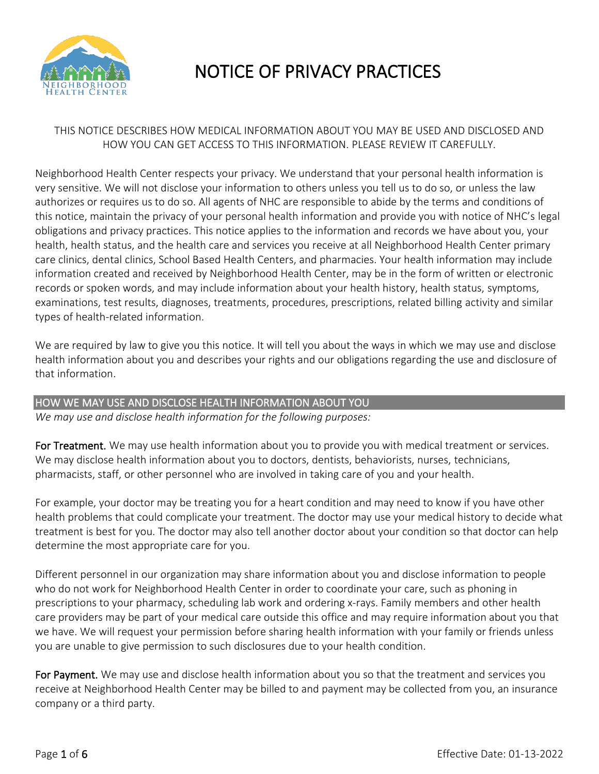

# NOTICE OF PRIVACY PRACTICES

## THIS NOTICE DESCRIBES HOW MEDICAL INFORMATION ABOUT YOU MAY BE USED AND DISCLOSED AND HOW YOU CAN GET ACCESS TO THIS INFORMATION. PLEASE REVIEW IT CAREFULLY.

Neighborhood Health Center respects your privacy. We understand that your personal health information is very sensitive. We will not disclose your information to others unless you tell us to do so, or unless the law authorizes or requires us to do so. All agents of NHC are responsible to abide by the terms and conditions of this notice, maintain the privacy of your personal health information and provide you with notice of NHC's legal obligations and privacy practices. This notice applies to the information and records we have about you, your health, health status, and the health care and services you receive at all Neighborhood Health Center primary care clinics, dental clinics, School Based Health Centers, and pharmacies. Your health information may include information created and received by Neighborhood Health Center, may be in the form of written or electronic records or spoken words, and may include information about your health history, health status, symptoms, examinations, test results, diagnoses, treatments, procedures, prescriptions, related billing activity and similar types of health‐related information.

We are required by law to give you this notice. It will tell you about the ways in which we may use and disclose health information about you and describes your rights and our obligations regarding the use and disclosure of that information.

## HOW WE MAY USE AND DISCLOSE HEALTH INFORMATION ABOUT YOU

*We may use and disclose health information for the following purposes:*

For Treatment. We may use health information about you to provide you with medical treatment or services. We may disclose health information about you to doctors, dentists, behaviorists, nurses, technicians, pharmacists, staff, or other personnel who are involved in taking care of you and your health.

For example, your doctor may be treating you for a heart condition and may need to know if you have other health problems that could complicate your treatment. The doctor may use your medical history to decide what treatment is best for you. The doctor may also tell another doctor about your condition so that doctor can help determine the most appropriate care for you.

Different personnel in our organization may share information about you and disclose information to people who do not work for Neighborhood Health Center in order to coordinate your care, such as phoning in prescriptions to your pharmacy, scheduling lab work and ordering x‐rays. Family members and other health care providers may be part of your medical care outside this office and may require information about you that we have. We will request your permission before sharing health information with your family or friends unless you are unable to give permission to such disclosures due to your health condition.

For Payment. We may use and disclose health information about you so that the treatment and services you receive at Neighborhood Health Center may be billed to and payment may be collected from you, an insurance company or a third party.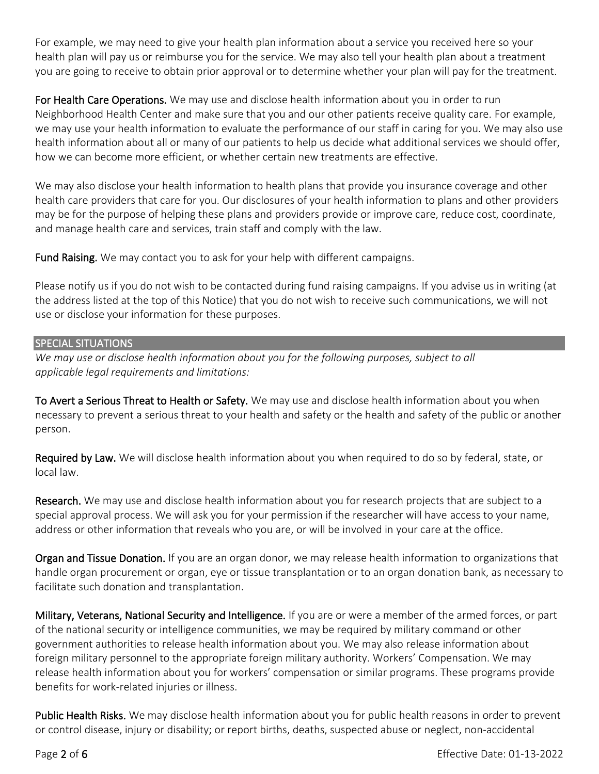For example, we may need to give your health plan information about a service you received here so your health plan will pay us or reimburse you for the service. We may also tell your health plan about a treatment you are going to receive to obtain prior approval or to determine whether your plan will pay for the treatment.

For Health Care Operations. We may use and disclose health information about you in order to run Neighborhood Health Center and make sure that you and our other patients receive quality care. For example, we may use your health information to evaluate the performance of our staff in caring for you. We may also use health information about all or many of our patients to help us decide what additional services we should offer, how we can become more efficient, or whether certain new treatments are effective.

We may also disclose your health information to health plans that provide you insurance coverage and other health care providers that care for you. Our disclosures of your health information to plans and other providers may be for the purpose of helping these plans and providers provide or improve care, reduce cost, coordinate, and manage health care and services, train staff and comply with the law.

Fund Raising. We may contact you to ask for your help with different campaigns.

Please notify us if you do not wish to be contacted during fund raising campaigns. If you advise us in writing (at the address listed at the top of this Notice) that you do not wish to receive such communications, we will not use or disclose your information for these purposes.

#### SPECIAL SITUATIONS

*We may use or disclose health information about you for the following purposes, subject to all applicable legal requirements and limitations:*

To Avert a Serious Threat to Health or Safety. We may use and disclose health information about you when necessary to prevent a serious threat to your health and safety or the health and safety of the public or another person.

Required by Law. We will disclose health information about you when required to do so by federal, state, or local law.

Research. We may use and disclose health information about you for research projects that are subject to a special approval process. We will ask you for your permission if the researcher will have access to your name, address or other information that reveals who you are, or will be involved in your care at the office.

Organ and Tissue Donation. If you are an organ donor, we may release health information to organizations that handle organ procurement or organ, eye or tissue transplantation or to an organ donation bank, as necessary to facilitate such donation and transplantation.

Military, Veterans, National Security and Intelligence. If you are or were a member of the armed forces, or part of the national security or intelligence communities, we may be required by military command or other government authorities to release health information about you. We may also release information about foreign military personnel to the appropriate foreign military authority. Workers' Compensation. We may release health information about you for workers' compensation or similar programs. These programs provide benefits for work‐related injuries or illness.

Public Health Risks. We may disclose health information about you for public health reasons in order to prevent or control disease, injury or disability; or report births, deaths, suspected abuse or neglect, non‐accidental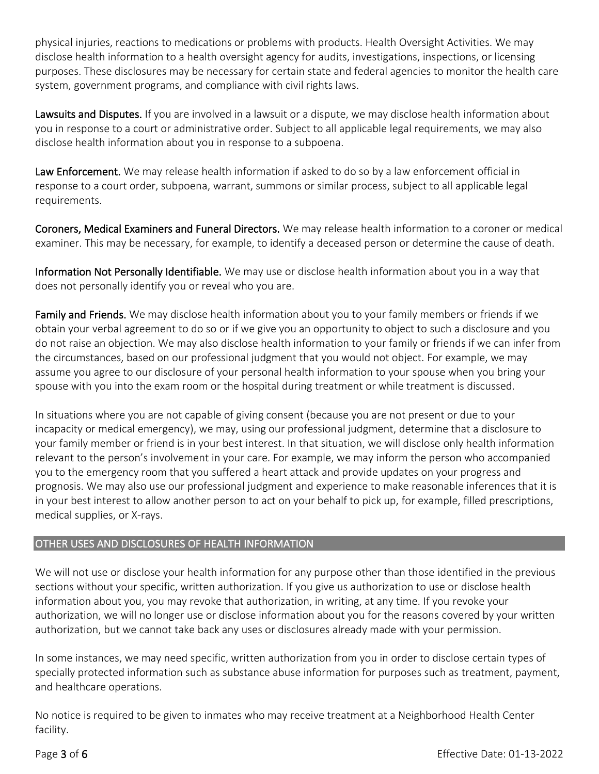physical injuries, reactions to medications or problems with products. Health Oversight Activities. We may disclose health information to a health oversight agency for audits, investigations, inspections, or licensing purposes. These disclosures may be necessary for certain state and federal agencies to monitor the health care system, government programs, and compliance with civil rights laws.

Lawsuits and Disputes. If you are involved in a lawsuit or a dispute, we may disclose health information about you in response to a court or administrative order. Subject to all applicable legal requirements, we may also disclose health information about you in response to a subpoena.

Law Enforcement. We may release health information if asked to do so by a law enforcement official in response to a court order, subpoena, warrant, summons or similar process, subject to all applicable legal requirements.

Coroners, Medical Examiners and Funeral Directors. We may release health information to a coroner or medical examiner. This may be necessary, for example, to identify a deceased person or determine the cause of death.

Information Not Personally Identifiable. We may use or disclose health information about you in a way that does not personally identify you or reveal who you are.

Family and Friends. We may disclose health information about you to your family members or friends if we obtain your verbal agreement to do so or if we give you an opportunity to object to such a disclosure and you do not raise an objection. We may also disclose health information to your family or friends if we can infer from the circumstances, based on our professional judgment that you would not object. For example, we may assume you agree to our disclosure of your personal health information to your spouse when you bring your spouse with you into the exam room or the hospital during treatment or while treatment is discussed.

In situations where you are not capable of giving consent (because you are not present or due to your incapacity or medical emergency), we may, using our professional judgment, determine that a disclosure to your family member or friend is in your best interest. In that situation, we will disclose only health information relevant to the person's involvement in your care. For example, we may inform the person who accompanied you to the emergency room that you suffered a heart attack and provide updates on your progress and prognosis. We may also use our professional judgment and experience to make reasonable inferences that it is in your best interest to allow another person to act on your behalf to pick up, for example, filled prescriptions, medical supplies, or X‐rays.

## OTHER USES AND DISCLOSURES OF HEALTH INFORMATION

We will not use or disclose your health information for any purpose other than those identified in the previous sections without your specific, written authorization. If you give us authorization to use or disclose health information about you, you may revoke that authorization, in writing, at any time. If you revoke your authorization, we will no longer use or disclose information about you for the reasons covered by your written authorization, but we cannot take back any uses or disclosures already made with your permission.

In some instances, we may need specific, written authorization from you in order to disclose certain types of specially protected information such as substance abuse information for purposes such as treatment, payment, and healthcare operations.

No notice is required to be given to inmates who may receive treatment at a Neighborhood Health Center facility.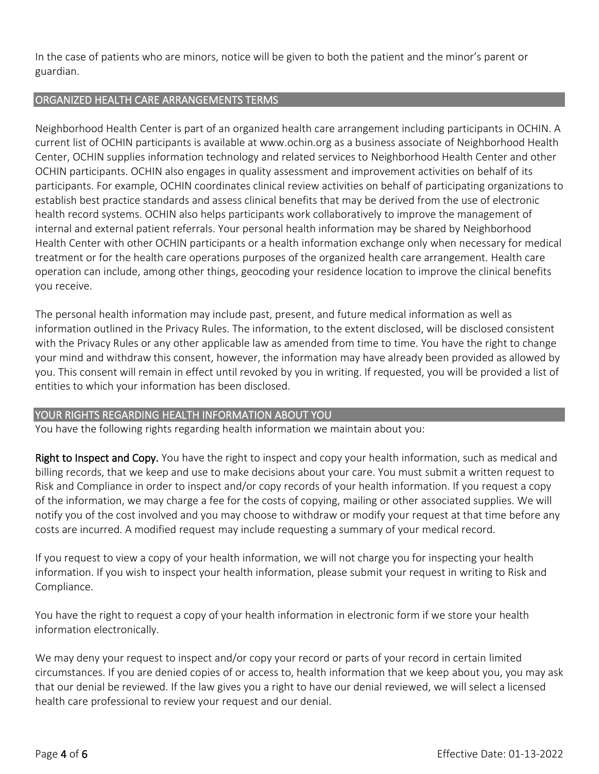In the case of patients who are minors, notice will be given to both the patient and the minor's parent or guardian.

## ORGANIZED HEALTH CARE ARRANGEMENTS TERMS

Neighborhood Health Center is part of an organized health care arrangement including participants in OCHIN. A current list of OCHIN participants is available at www.ochin.org as a business associate of Neighborhood Health Center, OCHIN supplies information technology and related services to Neighborhood Health Center and other OCHIN participants. OCHIN also engages in quality assessment and improvement activities on behalf of its participants. For example, OCHIN coordinates clinical review activities on behalf of participating organizations to establish best practice standards and assess clinical benefits that may be derived from the use of electronic health record systems. OCHIN also helps participants work collaboratively to improve the management of internal and external patient referrals. Your personal health information may be shared by Neighborhood Health Center with other OCHIN participants or a health information exchange only when necessary for medical treatment or for the health care operations purposes of the organized health care arrangement. Health care operation can include, among other things, geocoding your residence location to improve the clinical benefits you receive.

The personal health information may include past, present, and future medical information as well as information outlined in the Privacy Rules. The information, to the extent disclosed, will be disclosed consistent with the Privacy Rules or any other applicable law as amended from time to time. You have the right to change your mind and withdraw this consent, however, the information may have already been provided as allowed by you. This consent will remain in effect until revoked by you in writing. If requested, you will be provided a list of entities to which your information has been disclosed.

## YOUR RIGHTS REGARDING HEALTH INFORMATION ABOUT YOU

You have the following rights regarding health information we maintain about you:

Right to Inspect and Copy. You have the right to inspect and copy your health information, such as medical and billing records, that we keep and use to make decisions about your care. You must submit a written request to Risk and Compliance in order to inspect and/or copy records of your health information. If you request a copy of the information, we may charge a fee for the costs of copying, mailing or other associated supplies. We will notify you of the cost involved and you may choose to withdraw or modify your request at that time before any costs are incurred. A modified request may include requesting a summary of your medical record.

If you request to view a copy of your health information, we will not charge you for inspecting your health information. If you wish to inspect your health information, please submit your request in writing to Risk and Compliance.

You have the right to request a copy of your health information in electronic form if we store your health information electronically.

We may deny your request to inspect and/or copy your record or parts of your record in certain limited circumstances. If you are denied copies of or access to, health information that we keep about you, you may ask that our denial be reviewed. If the law gives you a right to have our denial reviewed, we will select a licensed health care professional to review your request and our denial.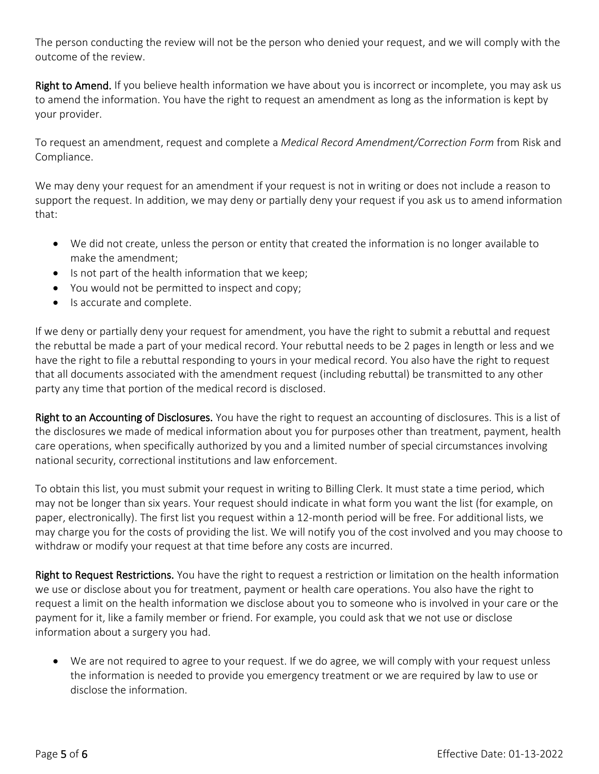The person conducting the review will not be the person who denied your request, and we will comply with the outcome of the review.

Right to Amend. If you believe health information we have about you is incorrect or incomplete, you may ask us to amend the information. You have the right to request an amendment as long as the information is kept by your provider.

To request an amendment, request and complete a *Medical Record Amendment/Correction Form* from Risk and Compliance.

We may deny your request for an amendment if your request is not in writing or does not include a reason to support the request. In addition, we may deny or partially deny your request if you ask us to amend information that:

- We did not create, unless the person or entity that created the information is no longer available to make the amendment;
- Is not part of the health information that we keep;
- You would not be permitted to inspect and copy;
- Is accurate and complete.

If we deny or partially deny your request for amendment, you have the right to submit a rebuttal and request the rebuttal be made a part of your medical record. Your rebuttal needs to be 2 pages in length or less and we have the right to file a rebuttal responding to yours in your medical record. You also have the right to request that all documents associated with the amendment request (including rebuttal) be transmitted to any other party any time that portion of the medical record is disclosed.

Right to an Accounting of Disclosures. You have the right to request an accounting of disclosures. This is a list of the disclosures we made of medical information about you for purposes other than treatment, payment, health care operations, when specifically authorized by you and a limited number of special circumstances involving national security, correctional institutions and law enforcement.

To obtain this list, you must submit your request in writing to Billing Clerk. It must state a time period, which may not be longer than six years. Your request should indicate in what form you want the list (for example, on paper, electronically). The first list you request within a 12-month period will be free. For additional lists, we may charge you for the costs of providing the list. We will notify you of the cost involved and you may choose to withdraw or modify your request at that time before any costs are incurred.

Right to Request Restrictions. You have the right to request a restriction or limitation on the health information we use or disclose about you for treatment, payment or health care operations. You also have the right to request a limit on the health information we disclose about you to someone who is involved in your care or the payment for it, like a family member or friend. For example, you could ask that we not use or disclose information about a surgery you had.

• We are not required to agree to your request. If we do agree, we will comply with your request unless the information is needed to provide you emergency treatment or we are required by law to use or disclose the information.